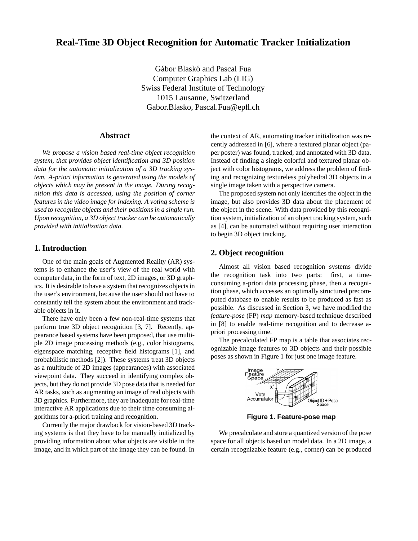# **Real-Time 3D Object Recognition for Automatic Tracker Initialization**

Gábor Blaskó and Pascal Fua Computer Graphics Lab (LIG) Swiss Federal Institute of Technology 1015 Lausanne, Switzerland Gabor.Blasko, Pascal.Fua@epfl.ch

## **Abstract**

*We propose a vision based real-time object recognition system, that provides object identification and 3D position data for the automatic initialization of a 3D tracking system. A-priori information is generated using the models of objects which may be present in the image. During recognition this data is accessed, using the position of corner features in the video image for indexing. A voting scheme is used to recognize objects and their positions in a single run. Upon recognition, a 3D object tracker can be automatically provided with initialization data.*

#### **1. Introduction**

One of the main goals of Augmented Reality (AR) systems is to enhance the user's view of the real world with computer data, in the form of text, 2D images, or 3D graphics. It is desirable to have a system that recognizes objects in the user's environment, because the user should not have to constantly tell the system about the environment and trackable objects in it.

There have only been a few non-real-time systems that perform true 3D object recognition [3, 7]. Recently, appearance based systems have been proposed, that use multiple 2D image processing methods (e.g., color histograms, eigenspace matching, receptive field histograms [1], and probabilistic methods [2]). These systems treat 3D objects as a multitude of 2D images (appearances) with associated viewpoint data. They succeed in identifying complex objects, but they do not provide 3D pose data that is needed for AR tasks, such as augmenting an image of real objects with 3D graphics. Furthermore, they are inadequate for real-time interactive AR applications due to their time consuming algorithms for a-priori training and recognition.

Currently the major drawback for vision-based 3D tracking systems is that they have to be manually initialized by providing information about what objects are visible in the image, and in which part of the image they can be found. In the context of AR, automating tracker initialization was recently addressed in [6], where a textured planar object (paper poster) was found, tracked, and annotated with 3D data. Instead of finding a single colorful and textured planar object with color histograms, we address the problem of finding and recognizing textureless polyhedral 3D objects in a single image taken with a perspective camera.

The proposed system not only identifies the object in the image, but also provides 3D data about the placement of the object in the scene. With data provided by this recognition system, initialization of an object tracking system, such as [4], can be automated without requiring user interaction to begin 3D object tracking.

### **2. Object recognition**

Almost all vision based recognition systems divide the recognition task into two parts: first, a timeconsuming a-priori data processing phase, then a recognition phase, which accesses an optimally structured precomputed database to enable results to be produced as fast as possible. As discussed in Section 3, we have modified the *feature-pose* (FP) *map* memory-based technique described in [8] to enable real-time recognition and to decrease apriori processing time.

The precalculated FP map is a table that associates recognizable image features to 3D objects and their possible poses as shown in Figure 1 for just one image feature.



**Figure 1. Feature-pose map**

We precalculate and store a quantized version of the pose space for all objects based on model data. In a 2D image, a certain recognizable feature (e.g., corner) can be produced